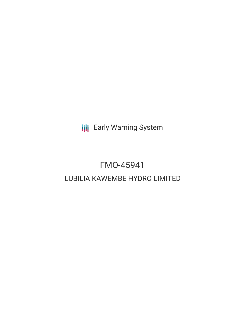**III** Early Warning System

# FMO-45941 LUBILIA KAWEMBE HYDRO LIMITED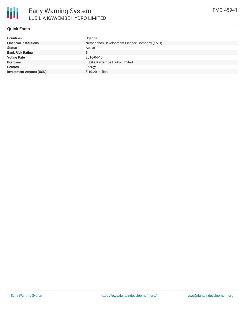## **Quick Facts**

| <b>Countries</b>               | Uganda                                        |
|--------------------------------|-----------------------------------------------|
| <b>Financial Institutions</b>  | Netherlands Development Finance Company (FMO) |
| <b>Status</b>                  | Active                                        |
| <b>Bank Risk Rating</b>        | B                                             |
| <b>Voting Date</b>             | 2016-04-15                                    |
| <b>Borrower</b>                | Lubilia Kawembe Hydro Limited                 |
| <b>Sectors</b>                 | Energy                                        |
| <b>Investment Amount (USD)</b> | \$10.20 million                               |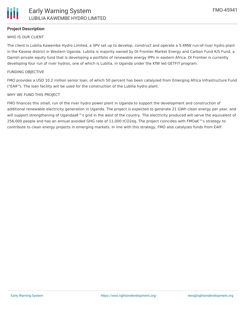

# **Project Description**

## WHO IS OUR CLIENT

The client is Lubilia Kawembe Hydro Limited, a SPV set up to develop, construct and operate a 5.4MW run-of-river hydro plant in the Kasese district in Western Uganda. Lubilia is majority owned by DI Frontier Market Energy and Carbon Fund K/S Fund, a Danish private equity fund that is developing a portfolio of renewable energy IPPs in eastern Africa. DI Frontier is currently developing four run of river hydros, one of which is Lubilia, in Uganda under the KfW led GETFiT program.

#### FUNDING OBJECTIVE

FMO provides a USD 10.2 million senior loan, of which 50 percent has been catalyzed from Emerging Africa Infrastructure Fund ("EAIF"). The loan facility will be used for the construction of the Lubilia hydro plant.

#### WHY WE FUND THIS PROJECT

FMO finances this small, run of the river hydro power plant in Uganda to support the development and construction of additional renewable electricity generation in Uganda. The project is expected to generate 21 GWh clean energy per year, and will support strengthening of Ugandaa€™s grid in the west of the country. The electricity produced will serve the equivalent of 256,000 people and has an annual avoided GHG rate of 11,000 tCO2eq. The project coincides with FMOa€™s strategy to contribute to clean energy projects in emerging markets. In line with this strategy, FMO also catalyzes funds from EAIF.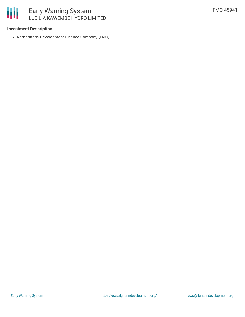## **Investment Description**

Netherlands Development Finance Company (FMO)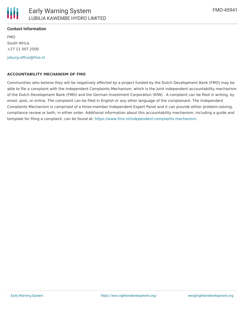

FMO South Africa +27 11 507 2500

[joburg-office@fmo.nl](mailto:joburg-office@fmo.nl)

## **ACCOUNTABILITY MECHANISM OF FMO**

Communities who believe they will be negatively affected by a project funded by the Dutch Development Bank (FMO) may be able to file a complaint with the Independent Complaints Mechanism, which is the joint independent accountability mechanism of the Dutch Development Bank (FMO) and the German Investment Corporation (KfW) . A complaint can be filed in writing, by email, post, or online. The complaint can be filed in English or any other language of the complainant. The Independent Complaints Mechanism is comprised of a three-member Independent Expert Panel and it can provide either problem-solving, compliance review or both, in either order. Additional information about this accountability mechanism, including a guide and template for filing a complaint, can be found at: <https://www.fmo.nl/independent-complaints-mechanism>.